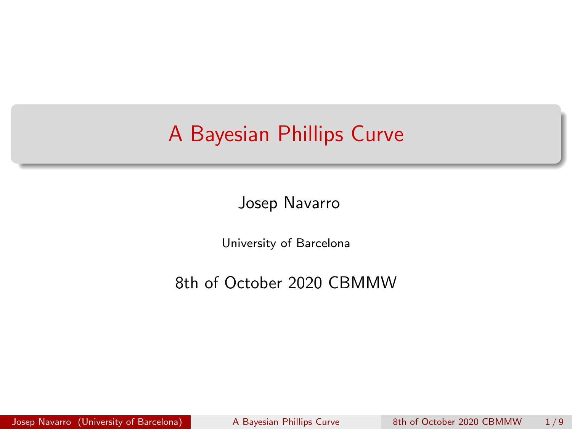## <span id="page-0-0"></span>A Bayesian Phillips Curve

Josep Navarro

University of Barcelona

8th of October 2020 CBMMW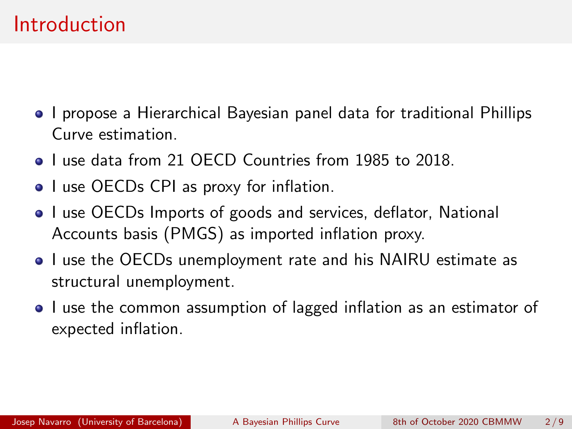#### Introduction

- I propose a Hierarchical Bayesian panel data for traditional Phillips Curve estimation.
- **I** use data from 21 OECD Countries from 1985 to 2018
- I use OECDs CPI as proxy for inflation.
- I use OECDs Imports of goods and services, deflator, National Accounts basis (PMGS) as imported inflation proxy.
- I use the OECDs unemployment rate and his NAIRU estimate as structural unemployment.
- I use the common assumption of lagged inflation as an estimator of expected inflation.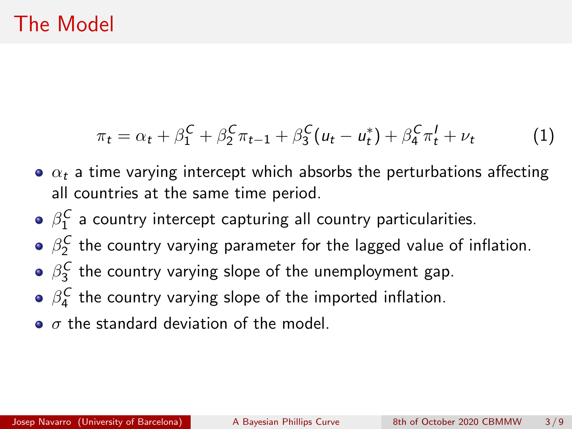## The Model

$$
\pi_t = \alpha_t + \beta_1^C + \beta_2^C \pi_{t-1} + \beta_3^C (u_t - u_t^*) + \beta_4^C \pi_t^I + \nu_t \tag{1}
$$

- $\alpha_t$  a time varying intercept which absorbs the perturbations affecting all countries at the same time period.
- $\beta_1^\mathcal{C}$  a country intercept capturing all country particularities.
- $\beta_2^{\text{\textit{C}}}$  the country varying parameter for the lagged value of inflation.
- $\beta_3^\mathcal{C}$  the country varying slope of the unemployment gap.
- $\beta_4^\text{\textit{C}}$  the country varying slope of the imported inflation.
- $\bullet$   $\sigma$  the standard deviation of the model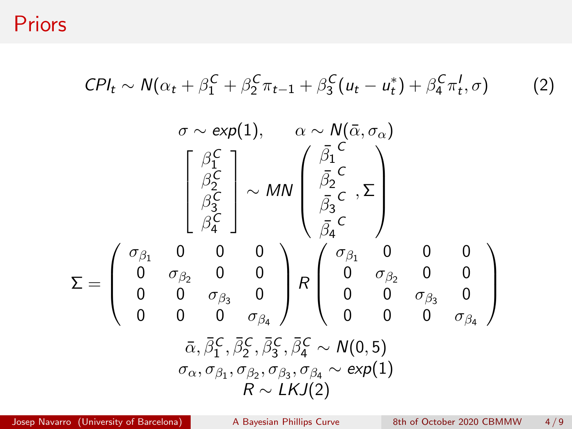Priors

$$
CPI_t \sim N(\alpha_t + \beta_1^C + \beta_2^C \pi_{t-1} + \beta_3^C (u_t - u_t^*) + \beta_4^C \pi_t^1, \sigma)
$$
 (2)

$$
\sigma \sim \exp(1), \qquad \alpha \sim N(\bar{\alpha}, \sigma_{\alpha})
$$
\n
$$
\begin{bmatrix}\n\beta_1^C \\
\beta_2^C \\
\beta_3^C \\
\beta_4^C\n\end{bmatrix} \sim MN \begin{pmatrix}\n\bar{\beta}_1^C \\
\bar{\beta}_2^C \\
\bar{\beta}_3^C\n\end{pmatrix}, \sum_{\vec{A}}^{\vec{B}} \\
\sigma_{\vec{A}}^T\n\end{bmatrix}
$$
\n
$$
\Sigma = \begin{pmatrix}\n\sigma_{\beta_1} & 0 & 0 & 0 \\
0 & \sigma_{\beta_2} & 0 & 0 \\
0 & 0 & \sigma_{\beta_3} & 0 \\
0 & 0 & 0 & \sigma_{\beta_4}\n\end{pmatrix} R \begin{pmatrix}\n\sigma_{\beta_1} & 0 & 0 & 0 \\
0 & \sigma_{\beta_2} & 0 & 0 \\
0 & 0 & \sigma_{\beta_3} & 0 \\
0 & 0 & 0 & \sigma_{\beta_4}\n\end{pmatrix}
$$
\n
$$
\bar{\alpha}, \bar{\beta}_1^C, \bar{\beta}_2^C, \bar{\beta}_3^C, \bar{\beta}_4^C \sim N(0, 5)
$$
\n
$$
\sigma_{\alpha}, \sigma_{\beta_1}, \sigma_{\beta_2}, \sigma_{\beta_3}, \sigma_{\beta_4} \sim \exp(1)
$$
\n
$$
R \sim LKJ(2)
$$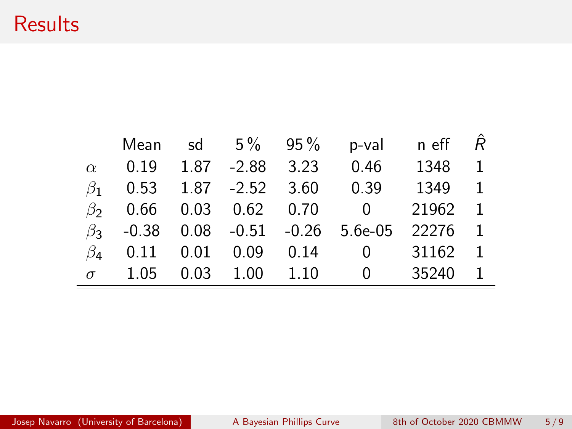## **Results**

|           | Mean | sd   |                              | $5\%$ 95% | p-val                                | n eff |                |
|-----------|------|------|------------------------------|-----------|--------------------------------------|-------|----------------|
| $\alpha$  | 0.19 |      | 1.87 -2.88 3.23              |           | 0.46                                 | 1348  | $\overline{1}$ |
| $\beta_1$ |      |      | $0.53$ $1.87$ $-2.52$ $3.60$ |           | 0.39                                 | 1349  | 1              |
| $\beta$   |      |      | 0.66 0.03 0.62 0.70          |           | $\overline{0}$                       | 21962 | $\overline{1}$ |
| $\beta_3$ |      |      |                              |           | $-0.38$ 0.08 $-0.51$ $-0.26$ 5.6e-05 | 22276 | $\mathbf{1}$   |
| $\beta_4$ | 0.11 |      | $0.01 \quad 0.09$            | 0.14      | $\Omega$                             | 31162 | $\overline{1}$ |
| $\sigma$  | 1.05 | 0.03 | 1.00                         | 1.10      | 0                                    | 35240 | $\mathbf{1}$   |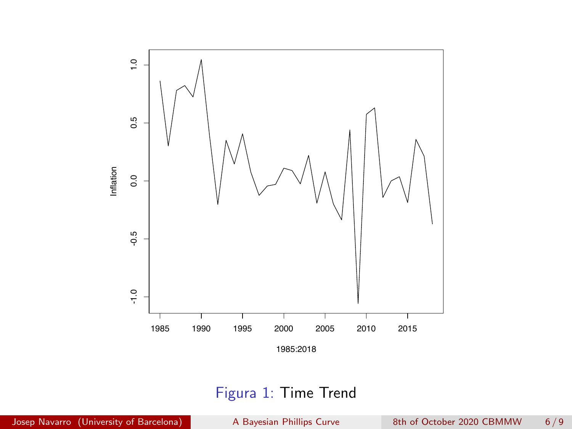

#### Figura 1: Time Trend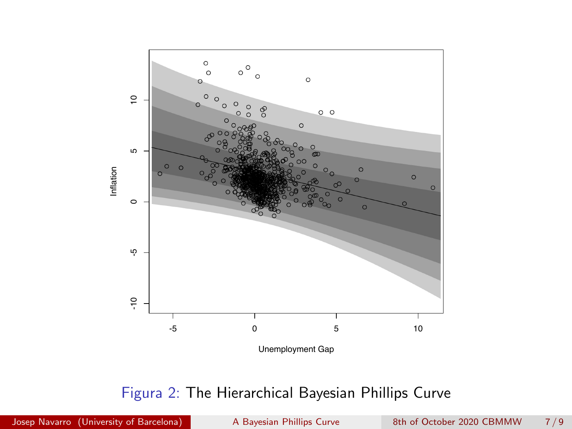

#### Figura 2: The Hierarchical Bayesian Phillips Curve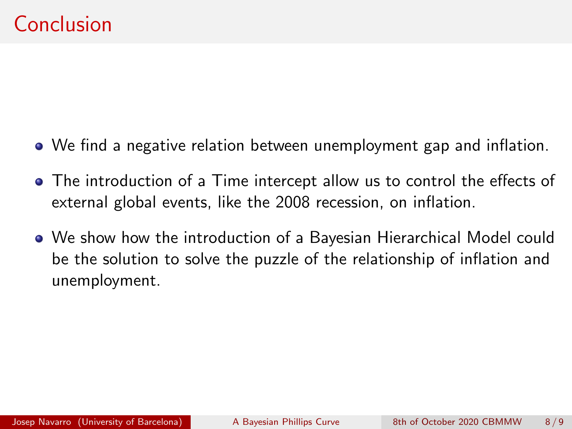- We find a negative relation between unemployment gap and inflation.
- The introduction of a Time intercept allow us to control the effects of external global events, like the 2008 recession, on inflation.
- We show how the introduction of a Bayesian Hierarchical Model could be the solution to solve the puzzle of the relationship of inflation and unemployment.